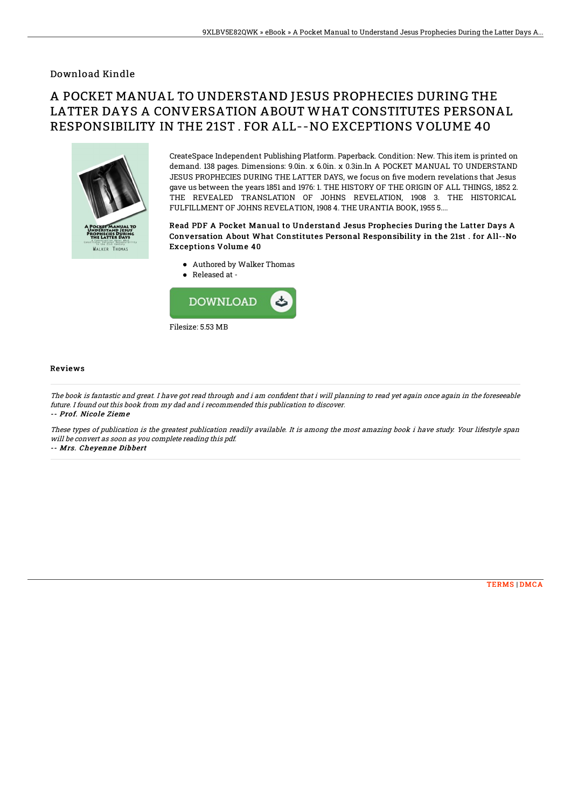### Download Kindle

# A POCKET MANUAL TO UNDERSTAND JESUS PROPHECIES DURING THE LATTER DAYS A CONVERSATION ABOUT WHAT CONSTITUTES PERSONAL RESPONSIBILITY IN THE 21ST . FOR ALL--NO EXCEPTIONS VOLUME 40



CreateSpace Independent Publishing Platform. Paperback. Condition: New. This item is printed on demand. 138 pages. Dimensions: 9.0in. x 6.0in. x 0.3in.In A POCKET MANUAL TO UNDERSTAND JESUS PROPHECIES DURING THE LATTER DAYS, we focus on five modern revelations that Jesus gave us between the years 1851 and 1976: 1. THE HISTORY OF THE ORIGIN OF ALL THINGS, 1852 2. THE REVEALED TRANSLATION OF JOHNS REVELATION, 1908 3. THE HISTORICAL FULFILLMENT OF JOHNS REVELATION, 1908 4. THE URANTIA BOOK, 1955 5....

#### Read PDF A Pocket Manual to Understand Jesus Prophecies During the Latter Days A Conversation About What Constitutes Personal Responsibility in the 21st . for All--No Exceptions Volume 40

- Authored by Walker Thomas
- Released at -



#### **Reviews**

The book is fantastic and great. I have got read through and i am confident that i will planning to read yet again once again in the foreseeable future. I found out this book from my dad and i recommended this publication to discover. -- Prof. Nicole Zieme

These types of publication is the greatest publication readily available. It is among the most amazing book i have study. Your lifestyle span will be convert as soon as you complete reading this pdf.

-- Mrs. Cheyenne Dibbert